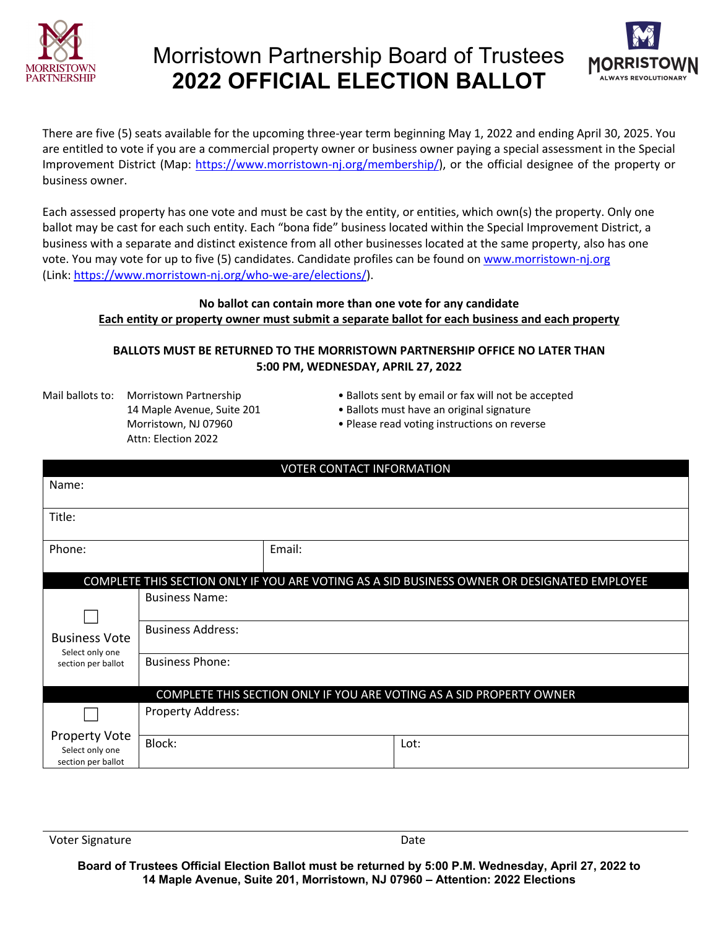

# Morristown Partnership Board of Trustees **2022 OFFICIAL ELECTION BALLOT**



There are five (5) seats available for the upcoming three-year term beginning May 1, 2022 and ending April 30, 2025. You are entitled to vote if you are a commercial property owner or business owner paying a special assessment in the Special Improvement District (Map: https://www.morristown-nj.org/membership/), or the official designee of the property or business owner.

Each assessed property has one vote and must be cast by the entity, or entities, which own(s) the property. Only one ballot may be cast for each such entity. Each "bona fide" business located within the Special Improvement District, a business with a separate and distinct existence from all other businesses located at the same property, also has one vote. You may vote for up to five (5) candidates. Candidate profiles can be found on www.morristown-nj.org (Link: https://www.morristown-nj.org/who-we-are/elections/).

#### **No ballot can contain more than one vote for any candidate Each entity or property owner must submit a separate ballot for each business and each property**

#### **BALLOTS MUST BE RETURNED TO THE MORRISTOWN PARTNERSHIP OFFICE NO LATER THAN 5:00 PM, WEDNESDAY, APRIL 27, 2022**

- Attn: Election 2022
- Mail ballots to: Morristown Partnership Ballots sent by email or fax will not be accepted
	- 14 Maple Avenue, Suite 201 Ballots must have an original signature
	- Morristown, NJ 07960 Please read voting instructions on reverse

| <b>VOTER CONTACT INFORMATION</b>                                                            |                                                                      |        |      |
|---------------------------------------------------------------------------------------------|----------------------------------------------------------------------|--------|------|
| Name:                                                                                       |                                                                      |        |      |
| Title:                                                                                      |                                                                      |        |      |
| Phone:                                                                                      |                                                                      | Email: |      |
| COMPLETE THIS SECTION ONLY IF YOU ARE VOTING AS A SID BUSINESS OWNER OR DESIGNATED EMPLOYEE |                                                                      |        |      |
| <b>Business Vote</b><br>Select only one<br>section per ballot                               | <b>Business Name:</b>                                                |        |      |
|                                                                                             | <b>Business Address:</b>                                             |        |      |
|                                                                                             | <b>Business Phone:</b>                                               |        |      |
|                                                                                             | COMPLETE THIS SECTION ONLY IF YOU ARE VOTING AS A SID PROPERTY OWNER |        |      |
|                                                                                             | Property Address:                                                    |        |      |
| <b>Property Vote</b><br>Select only one<br>section per ballot                               | Block:                                                               |        | Lot: |

Voter Signature Date